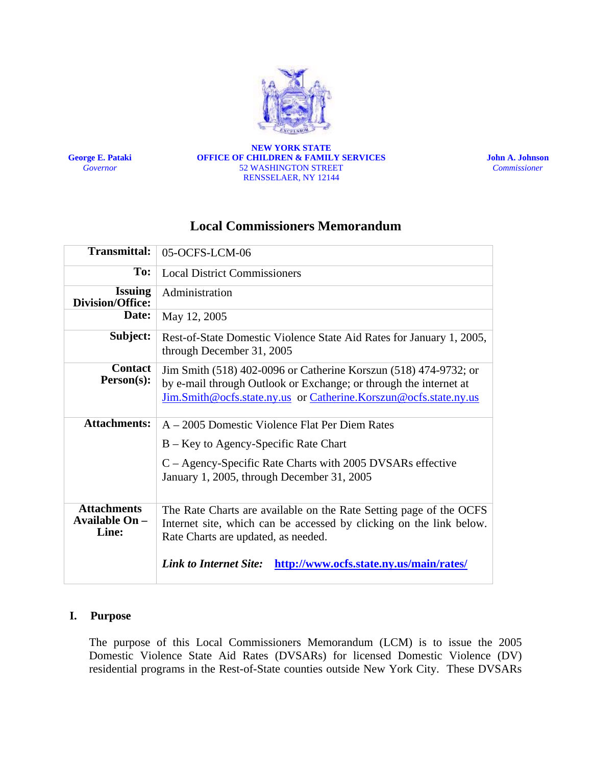

**George E. Pataki**  *Governor*

#### **NEW YORK STATE OFFICE OF CHILDREN & FAMILY SERVICES**  52 WASHINGTON STREET RENSSELAER, NY 12144

**John A. Johnson**  *Commissioner* 

# **Local Commissioners Memorandum**

| <b>Transmittal:</b>                                  | 05-OCFS-LCM-06                                                                                                                                                                                            |
|------------------------------------------------------|-----------------------------------------------------------------------------------------------------------------------------------------------------------------------------------------------------------|
| To:                                                  | <b>Local District Commissioners</b>                                                                                                                                                                       |
| <b>Issuing</b><br><b>Division/Office:</b>            | Administration                                                                                                                                                                                            |
| Date:                                                | May 12, 2005                                                                                                                                                                                              |
| Subject:                                             | Rest-of-State Domestic Violence State Aid Rates for January 1, 2005,<br>through December 31, 2005                                                                                                         |
| <b>Contact</b><br>Person(s):                         | Jim Smith (518) 402-0096 or Catherine Korszun (518) 474-9732; or<br>by e-mail through Outlook or Exchange; or through the internet at<br>Jim.Smith@ocfs.state.ny.us or Catherine.Korszun@ocfs.state.ny.us |
| <b>Attachments:</b>                                  | A – 2005 Domestic Violence Flat Per Diem Rates                                                                                                                                                            |
|                                                      | B – Key to Agency-Specific Rate Chart                                                                                                                                                                     |
|                                                      | C – Agency-Specific Rate Charts with 2005 DVSARs effective<br>January 1, 2005, through December 31, 2005                                                                                                  |
| <b>Attachments</b><br><b>Available On -</b><br>Line: | The Rate Charts are available on the Rate Setting page of the OCFS<br>Internet site, which can be accessed by clicking on the link below.<br>Rate Charts are updated, as needed.                          |
|                                                      | <b>Link to Internet Site:</b><br>http://www.ocfs.state.ny.us/main/rates/                                                                                                                                  |

#### **I. Purpose**

The purpose of this Local Commissioners Memorandum (LCM) is to issue the 2005 Domestic Violence State Aid Rates (DVSARs) for licensed Domestic Violence (DV) residential programs in the Rest-of-State counties outside New York City. These DVSARs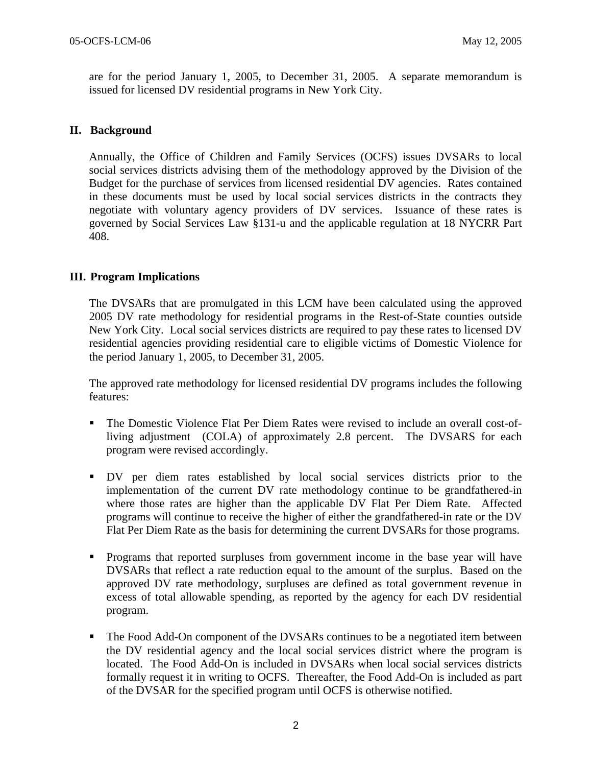are for the period January 1, 2005, to December 31, 2005. A separate memorandum is issued for licensed DV residential programs in New York City.

#### **II. Background**

Annually, the Office of Children and Family Services (OCFS) issues DVSARs to local social services districts advising them of the methodology approved by the Division of the Budget for the purchase of services from licensed residential DV agencies. Rates contained in these documents must be used by local social services districts in the contracts they negotiate with voluntary agency providers of DV services. Issuance of these rates is governed by Social Services Law §131-u and the applicable regulation at 18 NYCRR Part 408.

#### **III. Program Implications**

The DVSARs that are promulgated in this LCM have been calculated using the approved 2005 DV rate methodology for residential programs in the Rest-of-State counties outside New York City. Local social services districts are required to pay these rates to licensed DV residential agencies providing residential care to eligible victims of Domestic Violence for the period January 1, 2005, to December 31, 2005.

The approved rate methodology for licensed residential DV programs includes the following features:

- The Domestic Violence Flat Per Diem Rates were revised to include an overall cost-ofliving adjustment (COLA) of approximately 2.8 percent. The DVSARS for each program were revised accordingly.
- DV per diem rates established by local social services districts prior to the implementation of the current DV rate methodology continue to be grandfathered-in where those rates are higher than the applicable DV Flat Per Diem Rate. Affected programs will continue to receive the higher of either the grandfathered-in rate or the DV Flat Per Diem Rate as the basis for determining the current DVSARs for those programs.
- Programs that reported surpluses from government income in the base year will have DVSARs that reflect a rate reduction equal to the amount of the surplus. Based on the approved DV rate methodology, surpluses are defined as total government revenue in excess of total allowable spending, as reported by the agency for each DV residential program.
- The Food Add-On component of the DVSARs continues to be a negotiated item between the DV residential agency and the local social services district where the program is located. The Food Add-On is included in DVSARs when local social services districts formally request it in writing to OCFS. Thereafter, the Food Add-On is included as part of the DVSAR for the specified program until OCFS is otherwise notified.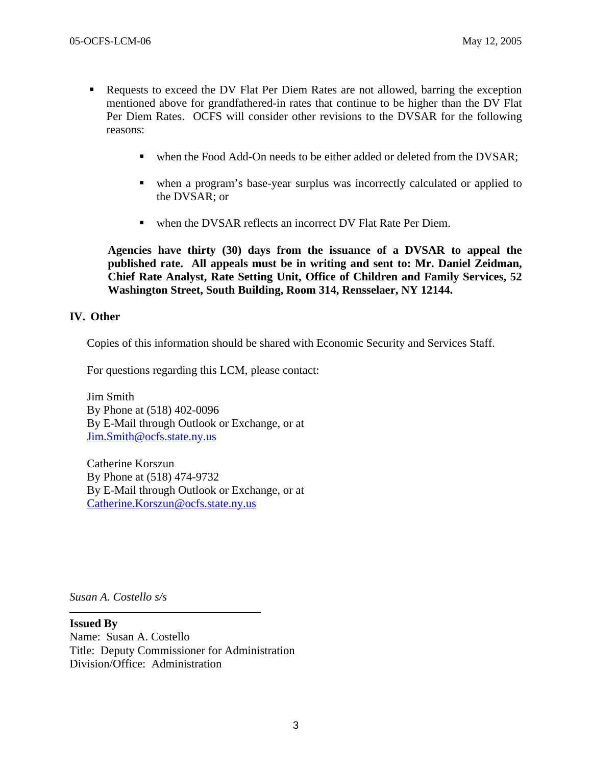- Requests to exceed the DV Flat Per Diem Rates are not allowed, barring the exception mentioned above for grandfathered-in rates that continue to be higher than the DV Flat Per Diem Rates. OCFS will consider other revisions to the DVSAR for the following reasons:
	- when the Food Add-On needs to be either added or deleted from the DVSAR;
	- when a program's base-year surplus was incorrectly calculated or applied to the DVSAR; or
	- when the DVSAR reflects an incorrect DV Flat Rate Per Diem.

**Agencies have thirty (30) days from the issuance of a DVSAR to appeal the published rate. All appeals must be in writing and sent to: Mr. Daniel Zeidman, Chief Rate Analyst, Rate Setting Unit, Office of Children and Family Services, 52 Washington Street, South Building, Room 314, Rensselaer, NY 12144.** 

#### **IV. Other**

Copies of this information should be shared with Economic Security and Services Staff.

For questions regarding this LCM, please contact:

Jim Smith By Phone at (518) 402-0096 By E-Mail through Outlook or Exchange, or at [Jim.Smith@ocfs.state.ny.us](mailto:Jim.Smith@ocfs.state.ny.us)

Catherine Korszun By Phone at (518) 474-9732 By E-Mail through Outlook or Exchange, or at [Catherine.Korszun@ocfs.state.ny.us](mailto:Catherine.Korszun@ocfs.state.ny.us)

*Susan A. Costello s/s* 

**Issued By**  Name: Susan A. Costello Title: Deputy Commissioner for Administration Division/Office: Administration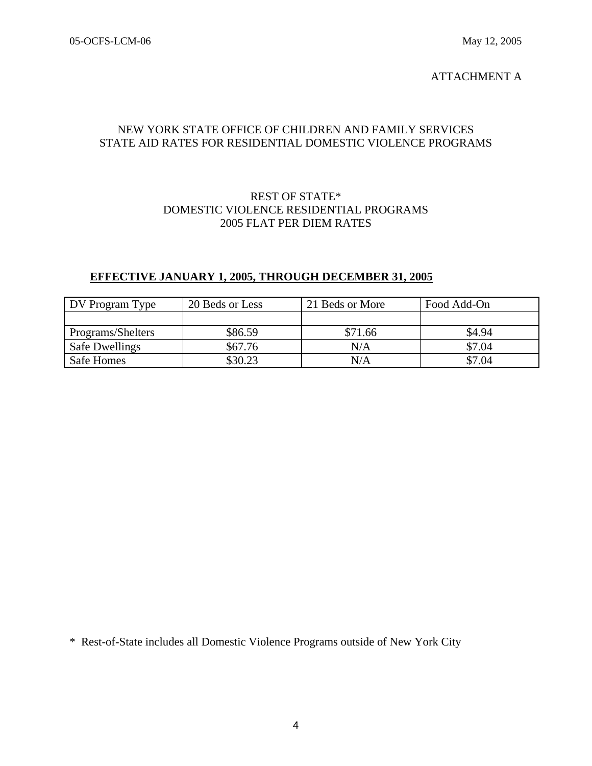### ATTACHMENT A

## NEW YORK STATE OFFICE OF CHILDREN AND FAMILY SERVICES STATE AID RATES FOR RESIDENTIAL DOMESTIC VIOLENCE PROGRAMS

### REST OF STATE\* DOMESTIC VIOLENCE RESIDENTIAL PROGRAMS 2005 FLAT PER DIEM RATES

## **EFFECTIVE JANUARY 1, 2005, THROUGH DECEMBER 31, 2005**

| DV Program Type   | 20 Beds or Less | 21 Beds or More | Food Add-On |
|-------------------|-----------------|-----------------|-------------|
|                   |                 |                 |             |
| Programs/Shelters | \$86.59         | \$71.66         | \$4.94      |
| Safe Dwellings    | \$67.76         | N/A             | \$7.04      |
| Safe Homes        | \$30.23         | $\rm N/A$       | \$7.04      |

\* Rest-of-State includes all Domestic Violence Programs outside of New York City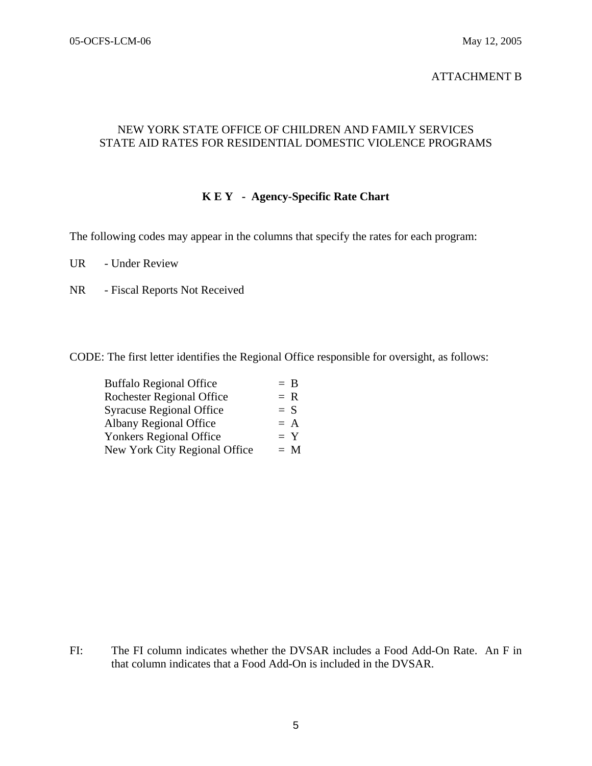## ATTACHMENT B

## NEW YORK STATE OFFICE OF CHILDREN AND FAMILY SERVICES STATE AID RATES FOR RESIDENTIAL DOMESTIC VIOLENCE PROGRAMS

## **K E Y - Agency-Specific Rate Chart**

The following codes may appear in the columns that specify the rates for each program:

UR - Under Review

NR - Fiscal Reports Not Received

CODE: The first letter identifies the Regional Office responsible for oversight, as follows:

| <b>Buffalo Regional Office</b>   | $=$ B |
|----------------------------------|-------|
| <b>Rochester Regional Office</b> | $= R$ |
| <b>Syracuse Regional Office</b>  | $= S$ |
| <b>Albany Regional Office</b>    | $= A$ |
| <b>Yonkers Regional Office</b>   | $= Y$ |
| New York City Regional Office    | $= M$ |
|                                  |       |

FI: The FI column indicates whether the DVSAR includes a Food Add-On Rate. An F in that column indicates that a Food Add-On is included in the DVSAR.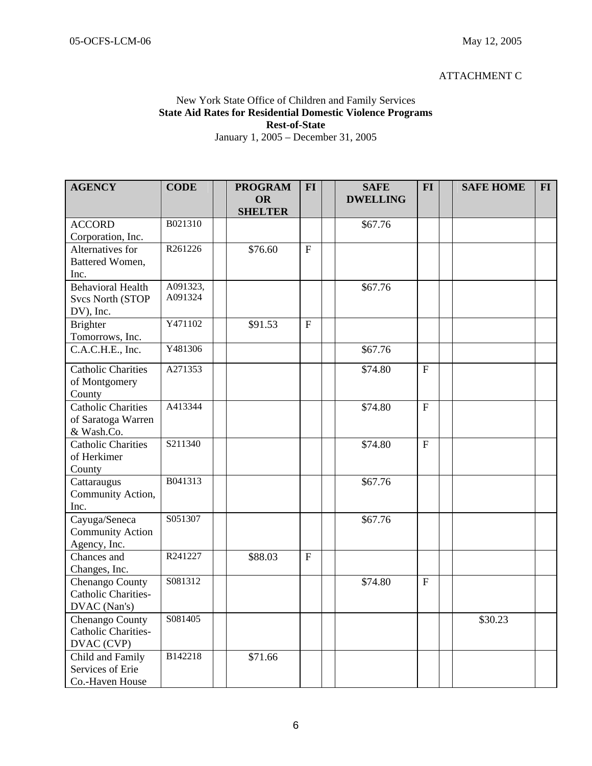#### ATTACHMENT C

#### New York State Office of Children and Family Services **State Aid Rates for Residential Domestic Violence Programs Rest-of-State**  January 1, 2005 – December 31, 2005

| <b>AGENCY</b>                        | <b>CODE</b> | <b>PROGRAM</b>       | <b>FI</b>    | <b>SAFE</b>     | <b>FI</b>      | <b>SAFE HOME</b> | $FI$ |
|--------------------------------------|-------------|----------------------|--------------|-----------------|----------------|------------------|------|
|                                      |             | OR<br><b>SHELTER</b> |              | <b>DWELLING</b> |                |                  |      |
| <b>ACCORD</b>                        | B021310     |                      |              | \$67.76         |                |                  |      |
| Corporation, Inc.                    |             |                      |              |                 |                |                  |      |
| Alternatives for                     | R261226     | \$76.60              | $\mathbf F$  |                 |                |                  |      |
| Battered Women,                      |             |                      |              |                 |                |                  |      |
| Inc.                                 |             |                      |              |                 |                |                  |      |
| <b>Behavioral Health</b>             | A091323,    |                      |              | \$67.76         |                |                  |      |
| <b>Svcs North (STOP</b>              | A091324     |                      |              |                 |                |                  |      |
| DV), Inc.                            |             |                      |              |                 |                |                  |      |
| Brighter                             | Y471102     | \$91.53              | $\mathbf{F}$ |                 |                |                  |      |
| Tomorrows, Inc.                      |             |                      |              |                 |                |                  |      |
| C.A.C.H.E., Inc.                     | Y481306     |                      |              | \$67.76         |                |                  |      |
| Catholic Charities                   | A271353     |                      |              | \$74.80         | $\mathbf{F}$   |                  |      |
| of Montgomery                        |             |                      |              |                 |                |                  |      |
| County                               |             |                      |              |                 |                |                  |      |
| <b>Catholic Charities</b>            | A413344     |                      |              | \$74.80         | $\overline{F}$ |                  |      |
| of Saratoga Warren                   |             |                      |              |                 |                |                  |      |
| & Wash.Co.                           |             |                      |              |                 |                |                  |      |
| <b>Catholic Charities</b>            | S211340     |                      |              | \$74.80         | ${\bf F}$      |                  |      |
| of Herkimer                          |             |                      |              |                 |                |                  |      |
| County                               |             |                      |              |                 |                |                  |      |
| Cattaraugus                          | B041313     |                      |              | \$67.76         |                |                  |      |
| Community Action,                    |             |                      |              |                 |                |                  |      |
| Inc.                                 |             |                      |              |                 |                |                  |      |
| Cayuga/Seneca                        | S051307     |                      |              | \$67.76         |                |                  |      |
| <b>Community Action</b>              |             |                      |              |                 |                |                  |      |
| Agency, Inc.                         |             |                      |              |                 |                |                  |      |
| Chances and                          | R241227     | \$88.03              | $\mathbf{F}$ |                 |                |                  |      |
| Changes, Inc.                        |             |                      |              |                 |                |                  |      |
| Chenango County                      | S081312     |                      |              | \$74.80         | $\mathbf F$    |                  |      |
| Catholic Charities-                  |             |                      |              |                 |                |                  |      |
| DVAC (Nan's)                         |             |                      |              |                 |                |                  |      |
| Chenango County                      | S081405     |                      |              |                 |                | \$30.23          |      |
| Catholic Charities-                  |             |                      |              |                 |                |                  |      |
| DVAC (CVP)                           | B142218     |                      |              |                 |                |                  |      |
| Child and Family<br>Services of Erie |             | \$71.66              |              |                 |                |                  |      |
| Co.-Haven House                      |             |                      |              |                 |                |                  |      |
|                                      |             |                      |              |                 |                |                  |      |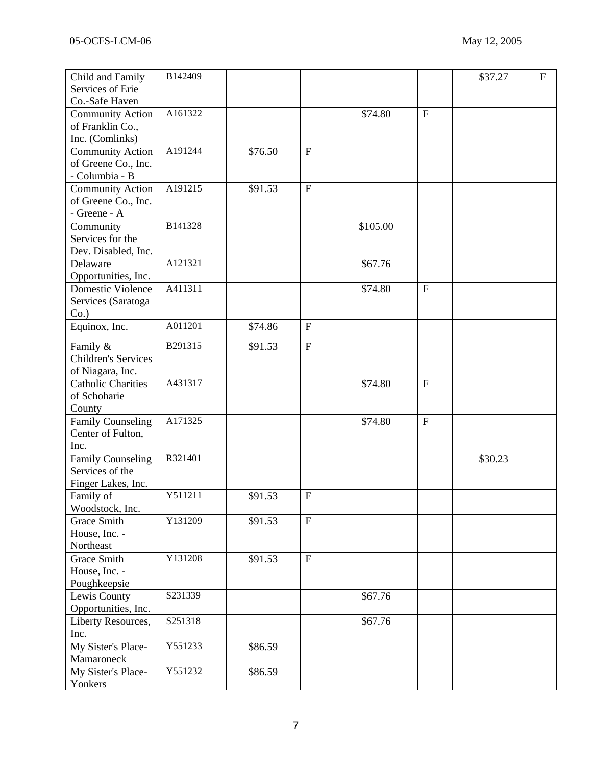| Child and Family           | B142409 |         |              |          |              | \$37.27 | $\overline{F}$ |
|----------------------------|---------|---------|--------------|----------|--------------|---------|----------------|
| Services of Erie           |         |         |              |          |              |         |                |
| Co.-Safe Haven             |         |         |              |          |              |         |                |
| <b>Community Action</b>    | A161322 |         |              | \$74.80  | $\mathbf{F}$ |         |                |
| of Franklin Co.,           |         |         |              |          |              |         |                |
| Inc. (Comlinks)            |         |         |              |          |              |         |                |
| <b>Community Action</b>    | A191244 | \$76.50 | $\mathbf F$  |          |              |         |                |
| of Greene Co., Inc.        |         |         |              |          |              |         |                |
| - Columbia - B             |         |         |              |          |              |         |                |
| <b>Community Action</b>    | A191215 | \$91.53 | ${\bf F}$    |          |              |         |                |
| of Greene Co., Inc.        |         |         |              |          |              |         |                |
| - Greene - A               |         |         |              |          |              |         |                |
| Community                  | B141328 |         |              | \$105.00 |              |         |                |
| Services for the           |         |         |              |          |              |         |                |
| Dev. Disabled, Inc.        |         |         |              |          |              |         |                |
| Delaware                   | A121321 |         |              | \$67.76  |              |         |                |
| Opportunities, Inc.        |         |         |              |          |              |         |                |
| <b>Domestic Violence</b>   | A411311 |         |              | \$74.80  | $\mathbf F$  |         |                |
| Services (Saratoga         |         |         |              |          |              |         |                |
| $Co.$ )                    |         |         |              |          |              |         |                |
| Equinox, Inc.              | A011201 | \$74.86 | ${\bf F}$    |          |              |         |                |
|                            |         |         |              |          |              |         |                |
| Family &                   | B291315 | \$91.53 | $\mathbf F$  |          |              |         |                |
| <b>Children's Services</b> |         |         |              |          |              |         |                |
| of Niagara, Inc.           |         |         |              |          |              |         |                |
| <b>Catholic Charities</b>  | A431317 |         |              | \$74.80  | $\mathbf{F}$ |         |                |
| of Schoharie               |         |         |              |          |              |         |                |
| County                     |         |         |              |          |              |         |                |
| Family Counseling          | A171325 |         |              | \$74.80  | $\mathbf{F}$ |         |                |
| Center of Fulton,          |         |         |              |          |              |         |                |
| Inc.                       |         |         |              |          |              |         |                |
| <b>Family Counseling</b>   | R321401 |         |              |          |              | \$30.23 |                |
| Services of the            |         |         |              |          |              |         |                |
| Finger Lakes, Inc.         |         |         |              |          |              |         |                |
| Family of                  | Y511211 | \$91.53 | $\mathbf{F}$ |          |              |         |                |
| Woodstock, Inc.            |         |         |              |          |              |         |                |
| <b>Grace Smith</b>         | Y131209 | \$91.53 | $\mathbf F$  |          |              |         |                |
| House, Inc. -              |         |         |              |          |              |         |                |
| Northeast                  |         |         |              |          |              |         |                |
| Grace Smith                | Y131208 | \$91.53 | ${\bf F}$    |          |              |         |                |
| House, Inc. -              |         |         |              |          |              |         |                |
| Poughkeepsie               |         |         |              |          |              |         |                |
| Lewis County               | S231339 |         |              | \$67.76  |              |         |                |
| Opportunities, Inc.        |         |         |              |          |              |         |                |
| Liberty Resources,         | S251318 |         |              | \$67.76  |              |         |                |
| Inc.                       |         |         |              |          |              |         |                |
| My Sister's Place-         | Y551233 | \$86.59 |              |          |              |         |                |
| Mamaroneck                 |         |         |              |          |              |         |                |
| My Sister's Place-         | Y551232 | \$86.59 |              |          |              |         |                |
| Yonkers                    |         |         |              |          |              |         |                |
|                            |         |         |              |          |              |         |                |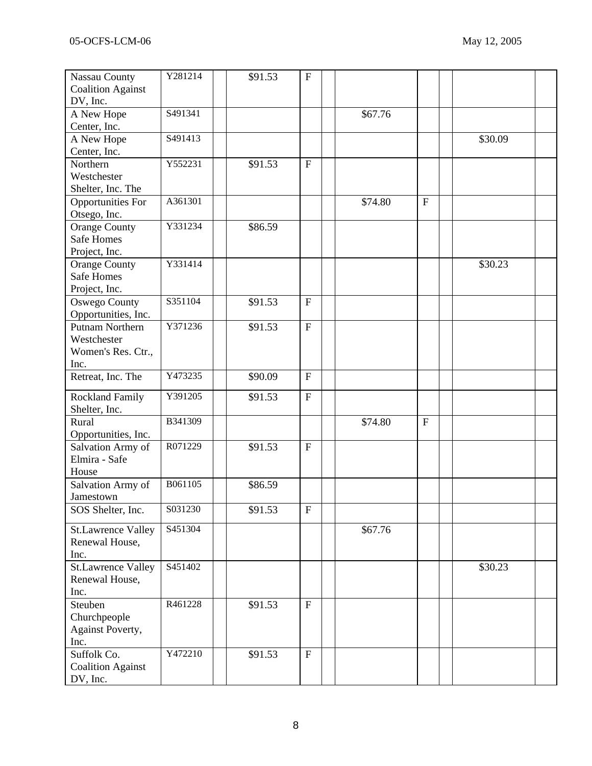| <b>Nassau County</b>                        | Y281214 | \$91.53 | ${\bf F}$                 |         |              |         |  |
|---------------------------------------------|---------|---------|---------------------------|---------|--------------|---------|--|
| <b>Coalition Against</b>                    |         |         |                           |         |              |         |  |
| DV, Inc.                                    |         |         |                           |         |              |         |  |
| A New Hope                                  | S491341 |         |                           | \$67.76 |              |         |  |
| Center, Inc.                                |         |         |                           |         |              |         |  |
| A New Hope                                  | S491413 |         |                           |         |              | \$30.09 |  |
| Center, Inc.                                |         |         |                           |         |              |         |  |
| Northern                                    | Y552231 | \$91.53 | ${\bf F}$                 |         |              |         |  |
| Westchester                                 |         |         |                           |         |              |         |  |
| Shelter, Inc. The                           |         |         |                           |         |              |         |  |
| <b>Opportunities For</b>                    | A361301 |         |                           | \$74.80 | $\mathbf{F}$ |         |  |
| Otsego, Inc.                                |         |         |                           |         |              |         |  |
| <b>Orange County</b>                        | Y331234 | \$86.59 |                           |         |              |         |  |
| <b>Safe Homes</b>                           |         |         |                           |         |              |         |  |
| Project, Inc.                               |         |         |                           |         |              |         |  |
| <b>Orange County</b>                        | Y331414 |         |                           |         |              | \$30.23 |  |
| <b>Safe Homes</b>                           |         |         |                           |         |              |         |  |
| Project, Inc.                               |         |         |                           |         |              |         |  |
| <b>Oswego County</b>                        | S351104 | \$91.53 | $\boldsymbol{\mathrm{F}}$ |         |              |         |  |
| Opportunities, Inc.                         |         |         |                           |         |              |         |  |
| <b>Putnam Northern</b>                      | Y371236 | \$91.53 | $\mathbf{F}$              |         |              |         |  |
| Westchester                                 |         |         |                           |         |              |         |  |
| Women's Res. Ctr.,                          |         |         |                           |         |              |         |  |
| Inc.                                        |         |         |                           |         |              |         |  |
| Retreat, Inc. The                           | Y473235 | \$90.09 | $\mathbf{F}$              |         |              |         |  |
|                                             |         |         |                           |         |              |         |  |
| <b>Rockland Family</b>                      | Y391205 | \$91.53 | $\mathbf{F}$              |         |              |         |  |
| Shelter, Inc.                               |         |         |                           |         |              |         |  |
| Rural                                       | B341309 |         |                           | \$74.80 | $\mathbf{F}$ |         |  |
| Opportunities, Inc.                         |         |         |                           |         |              |         |  |
| Salvation Army of                           | R071229 | \$91.53 | $\mathbf F$               |         |              |         |  |
| Elmira - Safe                               |         |         |                           |         |              |         |  |
| House                                       |         |         |                           |         |              |         |  |
| Salvation Army of                           | B061105 | \$86.59 |                           |         |              |         |  |
| Jamestown                                   |         |         |                           |         |              |         |  |
| SOS Shelter, Inc.                           | S031230 | \$91.53 | $\mathbf F$               |         |              |         |  |
|                                             | S451304 |         |                           | \$67.76 |              |         |  |
| <b>St.Lawrence Valley</b><br>Renewal House, |         |         |                           |         |              |         |  |
| Inc.                                        |         |         |                           |         |              |         |  |
|                                             | S451402 |         |                           |         |              | \$30.23 |  |
| <b>St.Lawrence Valley</b>                   |         |         |                           |         |              |         |  |
| Renewal House,<br>Inc.                      |         |         |                           |         |              |         |  |
| Steuben                                     | R461228 |         | $\mathbf F$               |         |              |         |  |
| Churchpeople                                |         | \$91.53 |                           |         |              |         |  |
|                                             |         |         |                           |         |              |         |  |
| <b>Against Poverty,</b><br>Inc.             |         |         |                           |         |              |         |  |
| Suffolk Co.                                 | Y472210 | \$91.53 | $\mathbf F$               |         |              |         |  |
| <b>Coalition Against</b>                    |         |         |                           |         |              |         |  |
| DV, Inc.                                    |         |         |                           |         |              |         |  |
|                                             |         |         |                           |         |              |         |  |